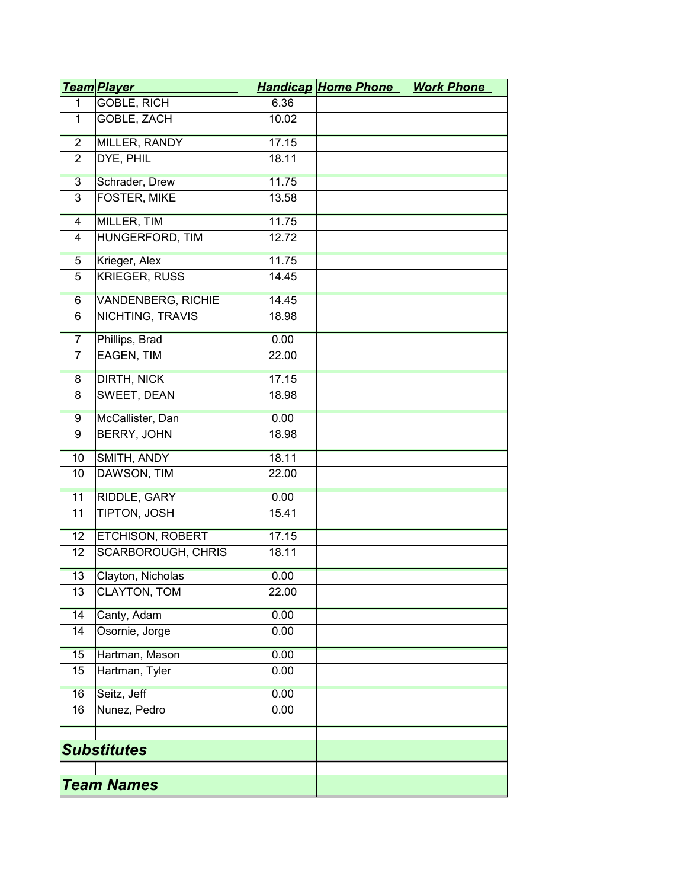|                    | <u>Team Player</u>        |       | <b>Handicap Home Phone</b> | <b>Work Phone</b> |
|--------------------|---------------------------|-------|----------------------------|-------------------|
| 1                  | GOBLE, RICH               | 6.36  |                            |                   |
| 1                  | GOBLE, ZACH               | 10.02 |                            |                   |
| $\overline{2}$     | <b>MILLER, RANDY</b>      | 17.15 |                            |                   |
| $\overline{2}$     | DYE, PHIL                 | 18.11 |                            |                   |
| $\overline{3}$     | Schrader, Drew            | 11.75 |                            |                   |
| 3                  | FOSTER, MIKE              | 13.58 |                            |                   |
| 4                  | MILLER, TIM               | 11.75 |                            |                   |
| 4                  | HUNGERFORD, TIM           | 12.72 |                            |                   |
| $\overline{5}$     | Krieger, Alex             | 11.75 |                            |                   |
| 5                  | <b>KRIEGER, RUSS</b>      | 14.45 |                            |                   |
| $6\overline{}$     | <b>VANDENBERG, RICHIE</b> | 14.45 |                            |                   |
| 6                  | NICHTING, TRAVIS          | 18.98 |                            |                   |
| $\overline{7}$     | Phillips, Brad            | 0.00  |                            |                   |
| $\overline{7}$     | EAGEN, TIM                | 22.00 |                            |                   |
| $\overline{8}$     | <b>DIRTH, NICK</b>        | 17.15 |                            |                   |
| 8                  | SWEET, DEAN               | 18.98 |                            |                   |
| 9                  | McCallister, Dan          | 0.00  |                            |                   |
| 9                  | BERRY, JOHN               | 18.98 |                            |                   |
| 10                 | SMITH, ANDY               | 18.11 |                            |                   |
| 10                 | DAWSON, TIM               | 22.00 |                            |                   |
| 11                 | RIDDLE, GARY              | 0.00  |                            |                   |
| 11                 | TIPTON, JOSH              | 15.41 |                            |                   |
| 12                 | <b>ETCHISON, ROBERT</b>   | 17.15 |                            |                   |
| 12                 | SCARBOROUGH, CHRIS        | 18.11 |                            |                   |
| 13                 | Clayton, Nicholas         | 0.00  |                            |                   |
| 13                 | CLAYTON, TOM              | 22.00 |                            |                   |
| 14                 | Canty, Adam               | 0.00  |                            |                   |
| 14                 | Osornie, Jorge            | 0.00  |                            |                   |
| 15                 | Hartman, Mason            | 0.00  |                            |                   |
| 15                 | Hartman, Tyler            | 0.00  |                            |                   |
| 16                 | Seitz, Jeff               | 0.00  |                            |                   |
| 16                 | Nunez, Pedro              | 0.00  |                            |                   |
|                    |                           |       |                            |                   |
| <b>Substitutes</b> |                           |       |                            |                   |
|                    |                           |       |                            |                   |
| <b>Team Names</b>  |                           |       |                            |                   |